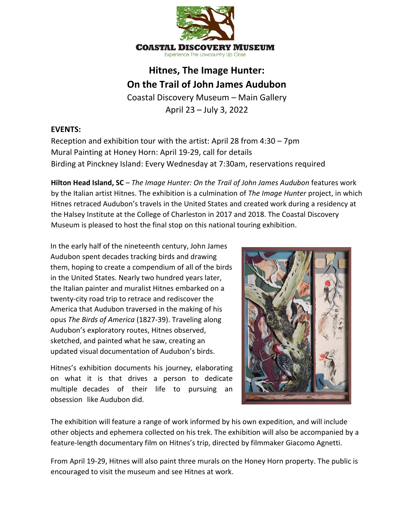

## **Hitnes, The Image Hunter: On the Trail of John James Audubon**

Coastal Discovery Museum – Main Gallery April 23 – July 3, 2022

## **EVENTS:**

Reception and exhibition tour with the artist: April 28 from 4:30 – 7pm Mural Painting at Honey Horn: April 19-29, call for details Birding at Pinckney Island: Every Wednesday at 7:30am, reservations required

**Hilton Head Island, SC** – *The Image Hunter: On the Trail of John James Audubon* features work by the Italian artist Hitnes. The exhibition is a culmination of *The Image Hunter* project, in which Hitnes retraced Audubon's travels in the United States and created work during a residency at the Halsey Institute at the College of Charleston in 2017 and 2018. The Coastal Discovery Museum is pleased to host the final stop on this national touring exhibition.

In the early half of the nineteenth century, John James Audubon spent decades tracking birds and drawing them, hoping to create a compendium of all of the birds in the United States. Nearly two hundred years later, the Italian painter and muralist Hitnes embarked on a twenty-city road trip to retrace and rediscover the America that Audubon traversed in the making of his opus *The Birds of America* (1827-39). Traveling along Audubon's exploratory routes, Hitnes observed, sketched, and painted what he saw, creating an updated visual documentation of Audubon's birds.

Hitnes's exhibition documents his journey, elaborating on what it is that drives a person to dedicate multiple decades of their life to pursuing an obsession like Audubon did.



The exhibition will feature a range of work informed by his own expedition, and will include other objects and ephemera collected on his trek. The exhibition will also be accompanied by a feature-length documentary film on Hitnes's trip, directed by filmmaker Giacomo Agnetti.

From April 19-29, Hitnes will also paint three murals on the Honey Horn property. The public is encouraged to visit the museum and see Hitnes at work.